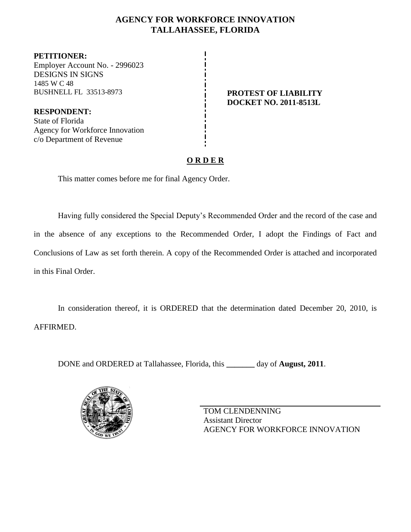# **AGENCY FOR WORKFORCE INNOVATION TALLAHASSEE, FLORIDA**

**PETITIONER:** Employer Account No. - 2996023 DESIGNS IN SIGNS 1485 W C 48 BUSHNELL FL 33513-8973 **PROTEST OF LIABILITY**

**RESPONDENT:** State of Florida Agency for Workforce Innovation c/o Department of Revenue

# **DOCKET NO. 2011-8513L**

# **O R D E R**

This matter comes before me for final Agency Order.

Having fully considered the Special Deputy"s Recommended Order and the record of the case and in the absence of any exceptions to the Recommended Order, I adopt the Findings of Fact and Conclusions of Law as set forth therein. A copy of the Recommended Order is attached and incorporated in this Final Order.

In consideration thereof, it is ORDERED that the determination dated December 20, 2010, is AFFIRMED.

DONE and ORDERED at Tallahassee, Florida, this **\_\_\_\_\_\_\_** day of **August, 2011**.



TOM CLENDENNING Assistant Director AGENCY FOR WORKFORCE INNOVATION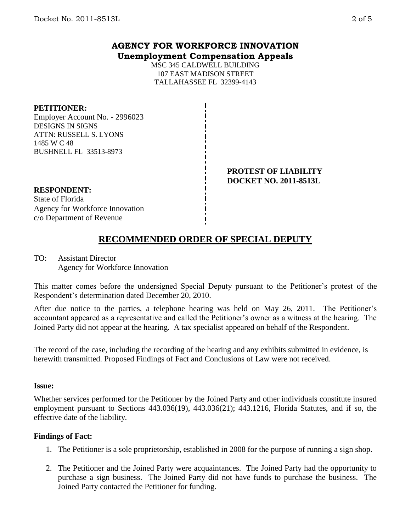# **AGENCY FOR WORKFORCE INNOVATION Unemployment Compensation Appeals**

MSC 345 CALDWELL BUILDING 107 EAST MADISON STREET TALLAHASSEE FL 32399-4143

## **PETITIONER:**

Employer Account No. - 2996023 DESIGNS IN SIGNS ATTN: RUSSELL S. LYONS 1485 W C 48 BUSHNELL FL 33513-8973

#### **PROTEST OF LIABILITY DOCKET NO. 2011-8513L**

## **RESPONDENT:**

State of Florida Agency for Workforce Innovation c/o Department of Revenue

# **RECOMMENDED ORDER OF SPECIAL DEPUTY**

TO: Assistant Director Agency for Workforce Innovation

This matter comes before the undersigned Special Deputy pursuant to the Petitioner"s protest of the Respondent"s determination dated December 20, 2010.

After due notice to the parties, a telephone hearing was held on May 26, 2011. The Petitioner's accountant appeared as a representative and called the Petitioner's owner as a witness at the hearing. The Joined Party did not appear at the hearing. A tax specialist appeared on behalf of the Respondent.

The record of the case, including the recording of the hearing and any exhibits submitted in evidence, is herewith transmitted. Proposed Findings of Fact and Conclusions of Law were not received.

### **Issue:**

Whether services performed for the Petitioner by the Joined Party and other individuals constitute insured employment pursuant to Sections 443.036(19), 443.036(21); 443.1216, Florida Statutes, and if so, the effective date of the liability.

### **Findings of Fact:**

- 1. The Petitioner is a sole proprietorship, established in 2008 for the purpose of running a sign shop.
- 2. The Petitioner and the Joined Party were acquaintances. The Joined Party had the opportunity to purchase a sign business. The Joined Party did not have funds to purchase the business. The Joined Party contacted the Petitioner for funding.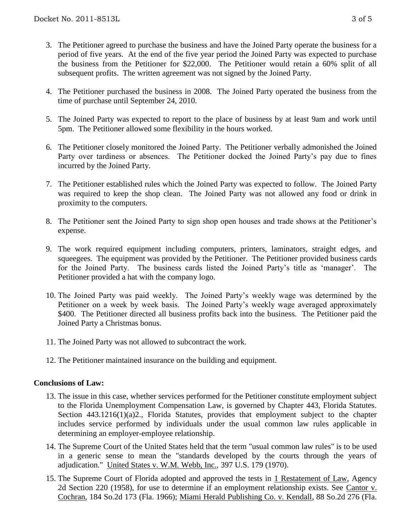- 3. The Petitioner agreed to purchase the business and have the Joined Party operate the business for a period of five years. At the end of the five year period the Joined Party was expected to purchase the business from the Petitioner for \$22,000. The Petitioner would retain a 60% split of all subsequent profits. The written agreement was not signed by the Joined Party.
- 4. The Petitioner purchased the business in 2008. The Joined Party operated the business from the time of purchase until September 24, 2010.
- 5. The Joined Party was expected to report to the place of business by at least 9am and work until 5pm. The Petitioner allowed some flexibility in the hours worked.
- 6. The Petitioner closely monitored the Joined Party. The Petitioner verbally admonished the Joined Party over tardiness or absences. The Petitioner docked the Joined Party"s pay due to fines incurred by the Joined Party.
- 7. The Petitioner established rules which the Joined Party was expected to follow. The Joined Party was required to keep the shop clean. The Joined Party was not allowed any food or drink in proximity to the computers.
- 8. The Petitioner sent the Joined Party to sign shop open houses and trade shows at the Petitioner's expense.
- 9. The work required equipment including computers, printers, laminators, straight edges, and squeegees. The equipment was provided by the Petitioner. The Petitioner provided business cards for the Joined Party. The business cards listed the Joined Party's title as 'manager'. The Petitioner provided a hat with the company logo.
- 10. The Joined Party was paid weekly. The Joined Party"s weekly wage was determined by the Petitioner on a week by week basis. The Joined Party"s weekly wage averaged approximately \$400. The Petitioner directed all business profits back into the business. The Petitioner paid the Joined Party a Christmas bonus.
- 11. The Joined Party was not allowed to subcontract the work.
- 12. The Petitioner maintained insurance on the building and equipment.

### **Conclusions of Law:**

- 13. The issue in this case, whether services performed for the Petitioner constitute employment subject to the Florida Unemployment Compensation Law, is governed by Chapter 443, Florida Statutes. Section 443.1216(1)(a)2., Florida Statutes, provides that employment subject to the chapter includes service performed by individuals under the usual common law rules applicable in determining an employer-employee relationship.
- 14. The Supreme Court of the United States held that the term "usual common law rules" is to be used in a generic sense to mean the "standards developed by the courts through the years of adjudication." United States v. W.M. Webb, Inc., 397 U.S. 179 (1970).
- 15. The Supreme Court of Florida adopted and approved the tests in 1 Restatement of Law, Agency 2d Section 220 (1958), for use to determine if an employment relationship exists. See Cantor v. Cochran, 184 So.2d 173 (Fla. 1966); Miami Herald Publishing Co. v. Kendall, 88 So.2d 276 (Fla.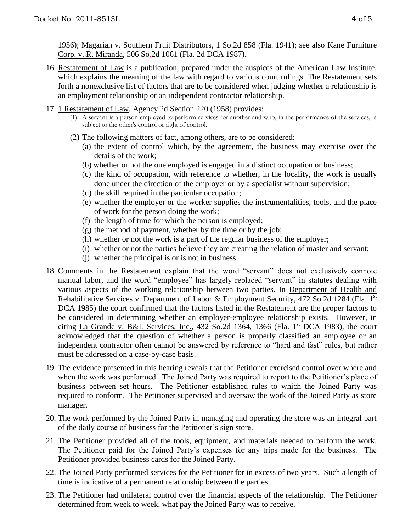1956); Magarian v. Southern Fruit Distributors, 1 So.2d 858 (Fla. 1941); see also Kane Furniture Corp. v. R. Miranda, 506 So.2d 1061 (Fla. 2d DCA 1987).

- 16. Restatement of Law is a publication, prepared under the auspices of the American Law Institute, which explains the meaning of the law with regard to various court rulings. The Restatement sets forth a nonexclusive list of factors that are to be considered when judging whether a relationship is an employment relationship or an independent contractor relationship.
- 17. 1 Restatement of Law, Agency 2d Section 220 (1958) provides:
	- (1) A servant is a person employed to perform services for another and who, in the performance of the services, is subject to the other's control or right of control.
	- (2) The following matters of fact, among others, are to be considered:
		- (a) the extent of control which, by the agreement, the business may exercise over the details of the work;
		- (b) whether or not the one employed is engaged in a distinct occupation or business;
		- (c) the kind of occupation, with reference to whether, in the locality, the work is usually done under the direction of the employer or by a specialist without supervision;
		- (d) the skill required in the particular occupation;
		- (e) whether the employer or the worker supplies the instrumentalities, tools, and the place of work for the person doing the work;
		- (f) the length of time for which the person is employed;
		- $(g)$  the method of payment, whether by the time or by the job;
		- (h) whether or not the work is a part of the regular business of the employer;
		- (i) whether or not the parties believe they are creating the relation of master and servant;
		- (j) whether the principal is or is not in business.
- 18. Comments in the Restatement explain that the word "servant" does not exclusively connote manual labor, and the word "employee" has largely replaced "servant" in statutes dealing with various aspects of the working relationship between two parties. In Department of Health and Rehabilitative Services v. Department of Labor & Employment Security, 472 So.2d 1284 (Fla. 1<sup>st</sup>) DCA 1985) the court confirmed that the factors listed in the Restatement are the proper factors to be considered in determining whether an employer-employee relationship exists. However, in citing La Grande v. B&L Services, Inc.,  $432$  So.2d  $1364$ ,  $1366$  (Fla. 1st DCA 1983), the court acknowledged that the question of whether a person is properly classified an employee or an independent contractor often cannot be answered by reference to "hard and fast" rules, but rather must be addressed on a case-by-case basis.
- 19. The evidence presented in this hearing reveals that the Petitioner exercised control over where and when the work was performed. The Joined Party was required to report to the Petitioner's place of business between set hours. The Petitioner established rules to which the Joined Party was required to conform. The Petitioner supervised and oversaw the work of the Joined Party as store manager.
- 20. The work performed by the Joined Party in managing and operating the store was an integral part of the daily course of business for the Petitioner"s sign store.
- 21. The Petitioner provided all of the tools, equipment, and materials needed to perform the work. The Petitioner paid for the Joined Party"s expenses for any trips made for the business. The Petitioner provided business cards for the Joined Party.
- 22. The Joined Party performed services for the Petitioner for in excess of two years. Such a length of time is indicative of a permanent relationship between the parties.
- 23. The Petitioner had unilateral control over the financial aspects of the relationship. The Petitioner determined from week to week, what pay the Joined Party was to receive.